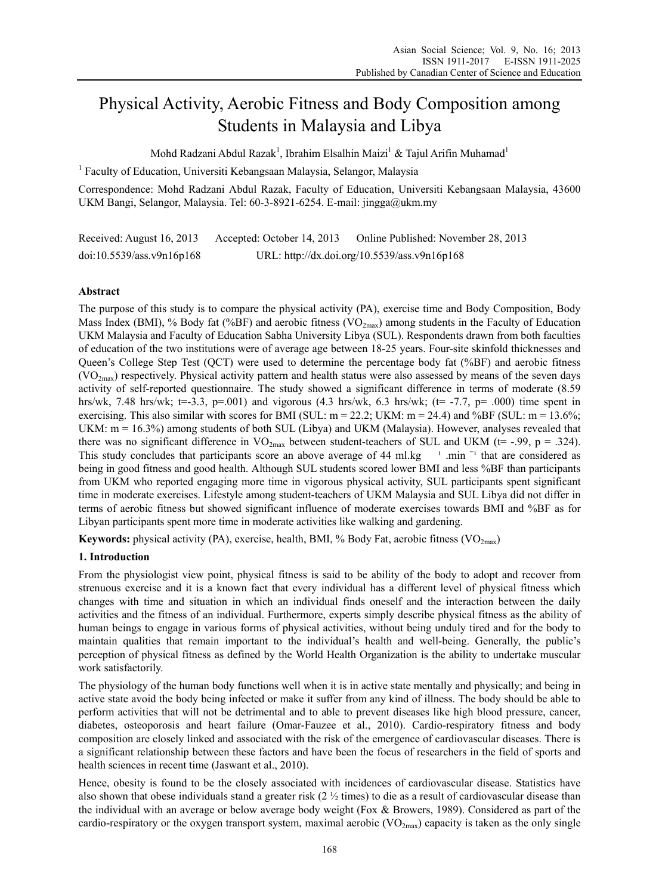# Physical Activity, Aerobic Fitness and Body Composition among Students in Malaysia and Libya

Mohd Radzani Abdul Razak<sup>1</sup>, Ibrahim Elsalhin Maizi<sup>1</sup> & Tajul Arifin Muhamad<sup>1</sup>

<sup>1</sup> Faculty of Education, Universiti Kebangsaan Malaysia, Selangor, Malaysia

Correspondence: Mohd Radzani Abdul Razak, Faculty of Education, Universiti Kebangsaan Malaysia, 43600 UKM Bangi, Selangor, Malaysia. Tel: 60-3-8921-6254. E-mail: jingga@ukm.my

Received: August 16, 2013 Accepted: October 14, 2013 Online Published: November 28, 2013 doi:10.5539/ass.v9n16p168 URL: http://dx.doi.org/10.5539/ass.v9n16p168

# **Abstract**

The purpose of this study is to compare the physical activity (PA), exercise time and Body Composition, Body Mass Index (BMI), % Body fat (%BF) and aerobic fitness ( $VO<sub>2max</sub>$ ) among students in the Faculty of Education UKM Malaysia and Faculty of Education Sabha University Libya (SUL). Respondents drawn from both faculties of education of the two institutions were of average age between 18-25 years. Four-site skinfold thicknesses and Queen's College Step Test (QCT) were used to determine the percentage body fat (%BF) and aerobic fitness (VO2max) respectively. Physical activity pattern and health status were also assessed by means of the seven days activity of self-reported questionnaire. The study showed a significant difference in terms of moderate (8.59 hrs/wk, 7.48 hrs/wk; t=-3.3, p=.001) and vigorous (4.3 hrs/wk, 6.3 hrs/wk; (t= -7.7, p= .000) time spent in exercising. This also similar with scores for BMI (SUL:  $m = 22.2$ ; UKM:  $m = 24.4$ ) and %BF (SUL:  $m = 13.6\%$ ; UKM:  $m = 16.3\%$ ) among students of both SUL (Libya) and UKM (Malaysia). However, analyses revealed that there was no significant difference in  $VO_{2max}$  between student-teachers of SUL and UKM (t= -.99, p = .324). This study concludes that participants score an above average of 44 ml.kg  $\frac{1}{2}$  .min  $\frac{1}{1}$  that are considered as being in good fitness and good health. Although SUL students scored lower BMI and less %BF than participants from UKM who reported engaging more time in vigorous physical activity, SUL participants spent significant time in moderate exercises. Lifestyle among student-teachers of UKM Malaysia and SUL Libya did not differ in terms of aerobic fitness but showed significant influence of moderate exercises towards BMI and %BF as for Libyan participants spent more time in moderate activities like walking and gardening.

**Keywords:** physical activity (PA), exercise, health, BMI, % Body Fat, aerobic fitness ( $VO_{2max}$ )

## **1. Introduction**

From the physiologist view point, physical fitness is said to be ability of the body to adopt and recover from strenuous exercise and it is a known fact that every individual has a different level of physical fitness which changes with time and situation in which an individual finds oneself and the interaction between the daily activities and the fitness of an individual. Furthermore, experts simply describe physical fitness as the ability of human beings to engage in various forms of physical activities, without being unduly tired and for the body to maintain qualities that remain important to the individual's health and well-being. Generally, the public's perception of physical fitness as defined by the World Health Organization is the ability to undertake muscular work satisfactorily.

The physiology of the human body functions well when it is in active state mentally and physically; and being in active state avoid the body being infected or make it suffer from any kind of illness. The body should be able to perform activities that will not be detrimental and to able to prevent diseases like high blood pressure, cancer, diabetes, osteoporosis and heart failure (Omar-Fauzee et al., 2010). Cardio-respiratory fitness and body composition are closely linked and associated with the risk of the emergence of cardiovascular diseases. There is a significant relationship between these factors and have been the focus of researchers in the field of sports and health sciences in recent time (Jaswant et al., 2010).

Hence, obesity is found to be the closely associated with incidences of cardiovascular disease. Statistics have also shown that obese individuals stand a greater risk (2 ½ times) to die as a result of cardiovascular disease than the individual with an average or below average body weight (Fox & Browers, 1989). Considered as part of the cardio-respiratory or the oxygen transport system, maximal aerobic  $(VO_{2max})$  capacity is taken as the only single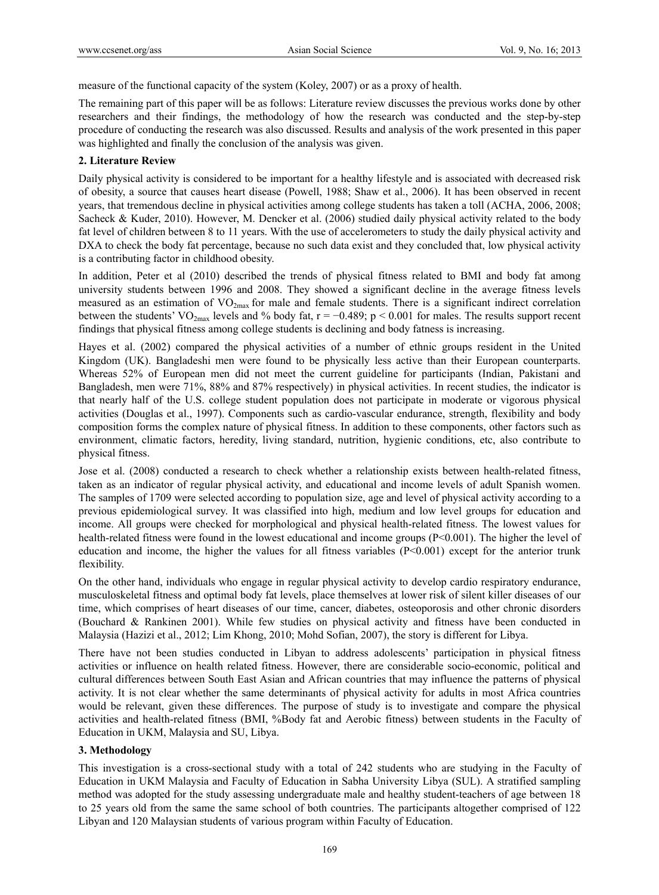measure of the functional capacity of the system (Koley, 2007) or as a proxy of health.

The remaining part of this paper will be as follows: Literature review discusses the previous works done by other researchers and their findings, the methodology of how the research was conducted and the step-by-step procedure of conducting the research was also discussed. Results and analysis of the work presented in this paper was highlighted and finally the conclusion of the analysis was given.

#### **2. Literature Review**

Daily physical activity is considered to be important for a healthy lifestyle and is associated with decreased risk of obesity, a source that causes heart disease (Powell, 1988; Shaw et al., 2006). It has been observed in recent years, that tremendous decline in physical activities among college students has taken a toll (ACHA, 2006, 2008; Sacheck & Kuder, 2010). However, M. Dencker et al. (2006) studied daily physical activity related to the body fat level of children between 8 to 11 years. With the use of accelerometers to study the daily physical activity and DXA to check the body fat percentage, because no such data exist and they concluded that, low physical activity is a contributing factor in childhood obesity.

In addition, Peter et al (2010) described the trends of physical fitness related to BMI and body fat among university students between 1996 and 2008. They showed a significant decline in the average fitness levels measured as an estimation of  $VO<sub>2max</sub>$  for male and female students. There is a significant indirect correlation between the students' VO<sub>2max</sub> levels and % body fat,  $r = -0.489$ ;  $p < 0.001$  for males. The results support recent findings that physical fitness among college students is declining and body fatness is increasing.

Hayes et al. (2002) compared the physical activities of a number of ethnic groups resident in the United Kingdom (UK). Bangladeshi men were found to be physically less active than their European counterparts. Whereas 52% of European men did not meet the current guideline for participants (Indian, Pakistani and Bangladesh, men were 71%, 88% and 87% respectively) in physical activities. In recent studies, the indicator is that nearly half of the U.S. college student population does not participate in moderate or vigorous physical activities (Douglas et al., 1997). Components such as cardio-vascular endurance, strength, flexibility and body composition forms the complex nature of physical fitness. In addition to these components, other factors such as environment, climatic factors, heredity, living standard, nutrition, hygienic conditions, etc, also contribute to physical fitness.

Jose et al. (2008) conducted a research to check whether a relationship exists between health-related fitness, taken as an indicator of regular physical activity, and educational and income levels of adult Spanish women. The samples of 1709 were selected according to population size, age and level of physical activity according to a previous epidemiological survey. It was classified into high, medium and low level groups for education and income. All groups were checked for morphological and physical health-related fitness. The lowest values for health-related fitness were found in the lowest educational and income groups (P<0.001). The higher the level of education and income, the higher the values for all fitness variables (P<0.001) except for the anterior trunk flexibility.

On the other hand, individuals who engage in regular physical activity to develop cardio respiratory endurance, musculoskeletal fitness and optimal body fat levels, place themselves at lower risk of silent killer diseases of our time, which comprises of heart diseases of our time, cancer, diabetes, osteoporosis and other chronic disorders (Bouchard & Rankinen 2001). While few studies on physical activity and fitness have been conducted in Malaysia (Hazizi et al., 2012; Lim Khong, 2010; Mohd Sofian, 2007), the story is different for Libya.

There have not been studies conducted in Libyan to address adolescents' participation in physical fitness activities or influence on health related fitness. However, there are considerable socio-economic, political and cultural differences between South East Asian and African countries that may influence the patterns of physical activity. It is not clear whether the same determinants of physical activity for adults in most Africa countries would be relevant, given these differences. The purpose of study is to investigate and compare the physical activities and health-related fitness (BMI, %Body fat and Aerobic fitness) between students in the Faculty of Education in UKM, Malaysia and SU, Libya.

## **3. Methodology**

This investigation is a cross-sectional study with a total of 242 students who are studying in the Faculty of Education in UKM Malaysia and Faculty of Education in Sabha University Libya (SUL). A stratified sampling method was adopted for the study assessing undergraduate male and healthy student-teachers of age between 18 to 25 years old from the same the same school of both countries. The participants altogether comprised of 122 Libyan and 120 Malaysian students of various program within Faculty of Education.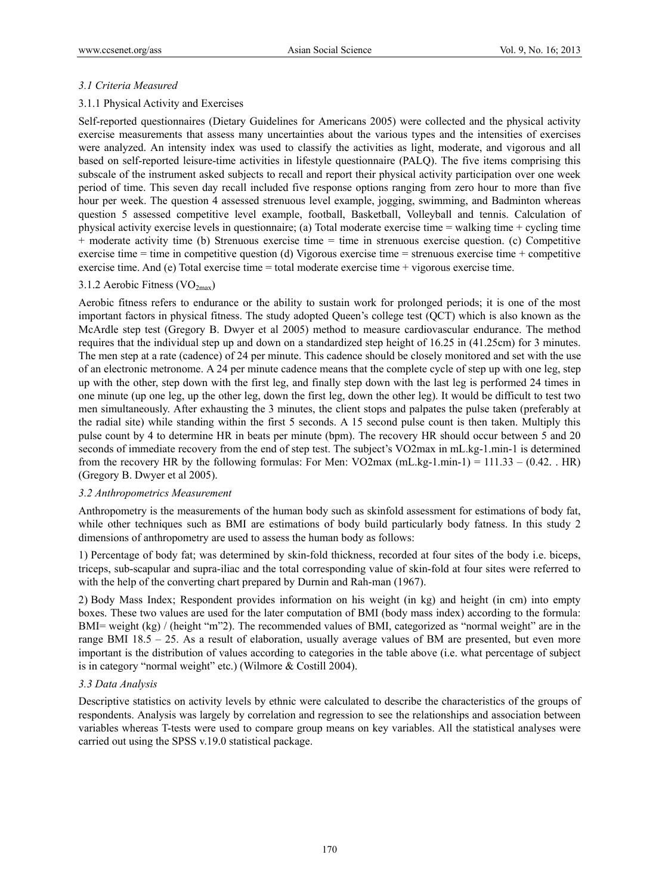# *3.1 Criteria Measured*

# 3.1.1 Physical Activity and Exercises

Self-reported questionnaires (Dietary Guidelines for Americans 2005) were collected and the physical activity exercise measurements that assess many uncertainties about the various types and the intensities of exercises were analyzed. An intensity index was used to classify the activities as light, moderate, and vigorous and all based on self-reported leisure-time activities in lifestyle questionnaire (PALQ). The five items comprising this subscale of the instrument asked subjects to recall and report their physical activity participation over one week period of time. This seven day recall included five response options ranging from zero hour to more than five hour per week. The question 4 assessed strenuous level example, jogging, swimming, and Badminton whereas question 5 assessed competitive level example, football, Basketball, Volleyball and tennis. Calculation of physical activity exercise levels in questionnaire; (a) Total moderate exercise time = walking time + cycling time + moderate activity time (b) Strenuous exercise time = time in strenuous exercise question. (c) Competitive exercise time = time in competitive question (d) Vigorous exercise time = strenuous exercise time + competitive exercise time. And (e) Total exercise time  $=$  total moderate exercise time  $+$  vigorous exercise time.

# 3.1.2 Aerobic Fitness  $(\text{VO}_2)_{\text{max}})$

Aerobic fitness refers to endurance or the ability to sustain work for prolonged periods; it is one of the most important factors in physical fitness. The study adopted Queen's college test (QCT) which is also known as the McArdle step test (Gregory B. Dwyer et al 2005) method to measure cardiovascular endurance. The method requires that the individual step up and down on a standardized step height of 16.25 in (41.25cm) for 3 minutes. The men step at a rate (cadence) of 24 per minute. This cadence should be closely monitored and set with the use of an electronic metronome. A 24 per minute cadence means that the complete cycle of step up with one leg, step up with the other, step down with the first leg, and finally step down with the last leg is performed 24 times in one minute (up one leg, up the other leg, down the first leg, down the other leg). It would be difficult to test two men simultaneously. After exhausting the 3 minutes, the client stops and palpates the pulse taken (preferably at the radial site) while standing within the first 5 seconds. A 15 second pulse count is then taken. Multiply this pulse count by 4 to determine HR in beats per minute (bpm). The recovery HR should occur between 5 and 20 seconds of immediate recovery from the end of step test. The subject's VO2max in mL.kg-1.min-1 is determined from the recovery HR by the following formulas: For Men: VO2max  $(mLkg-1.min-1) = 111.33 - (0.42.$  . HR) (Gregory B. Dwyer et al 2005).

## *3.2 Anthropometrics Measurement*

Anthropometry is the measurements of the human body such as skinfold assessment for estimations of body fat, while other techniques such as BMI are estimations of body build particularly body fatness. In this study 2 dimensions of anthropometry are used to assess the human body as follows:

1) Percentage of body fat; was determined by skin-fold thickness, recorded at four sites of the body i.e. biceps, triceps, sub-scapular and supra-iliac and the total corresponding value of skin-fold at four sites were referred to with the help of the converting chart prepared by Durnin and Rah-man (1967).

2) Body Mass Index; Respondent provides information on his weight (in kg) and height (in cm) into empty boxes. These two values are used for the later computation of BMI (body mass index) according to the formula: BMI= weight (kg) / (height "m"2). The recommended values of BMI, categorized as "normal weight" are in the range BMI 18.5 – 25. As a result of elaboration, usually average values of BM are presented, but even more important is the distribution of values according to categories in the table above (i.e. what percentage of subject is in category "normal weight" etc.) (Wilmore & Costill 2004).

## *3.3 Data Analysis*

Descriptive statistics on activity levels by ethnic were calculated to describe the characteristics of the groups of respondents. Analysis was largely by correlation and regression to see the relationships and association between variables whereas T-tests were used to compare group means on key variables. All the statistical analyses were carried out using the SPSS v.19.0 statistical package.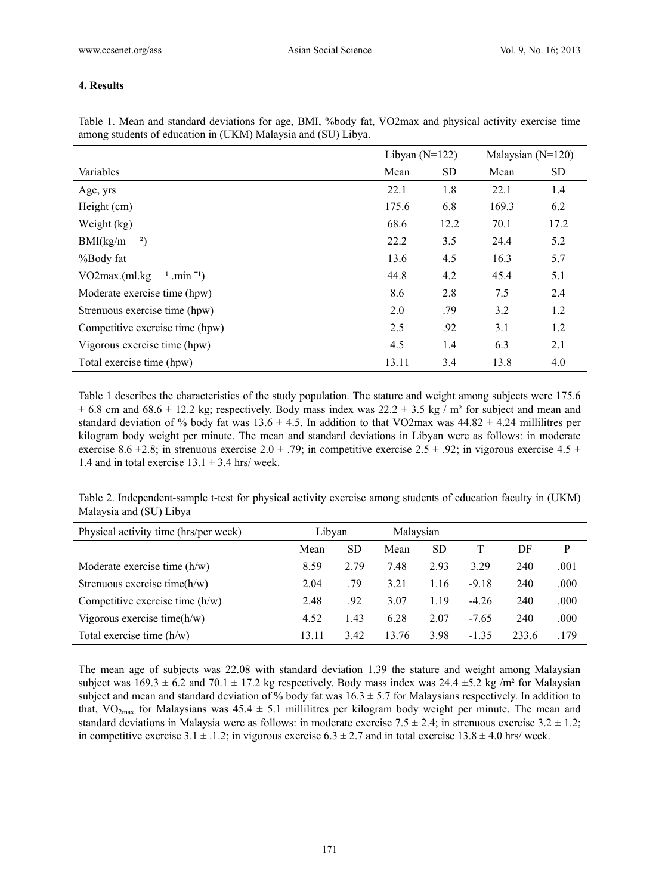## **4. Results**

|                                            | Libyan $(N=122)$ |           | Malaysian $(N=120)$ |      |
|--------------------------------------------|------------------|-----------|---------------------|------|
| Variables                                  | Mean             | <b>SD</b> | Mean                | SD.  |
| Age, yrs                                   | 22.1             | 1.8       | 22.1                | 1.4  |
| Height (cm)                                | 175.6            | 6.8       | 169.3               | 6.2  |
| Weight (kg)                                | 68.6             | 12.2      | 70.1                | 17.2 |
| BMI(kg/m)<br>$^{2}$                        | 22.2             | 3.5       | 24.4                | 5.2  |
| %Body fat                                  | 13.6             | 4.5       | 16.3                | 5.7  |
| VO2max.(ml.kg)<br>$^1$ min <sup>-1</sup> ) | 44.8             | 4.2       | 45.4                | 5.1  |
| Moderate exercise time (hpw)               | 8.6              | 2.8       | 7.5                 | 2.4  |
| Strenuous exercise time (hpw)              | 2.0              | .79       | 3.2                 | 1.2  |
| Competitive exercise time (hpw)            | 2.5              | .92       | 3.1                 | 1.2  |
| Vigorous exercise time (hpw)               | 4.5              | 1.4       | 6.3                 | 2.1  |
| Total exercise time (hpw)                  | 13.11            | 3.4       | 13.8                | 4.0  |

Table 1. Mean and standard deviations for age, BMI, %body fat, VO2max and physical activity exercise time among students of education in (UKM) Malaysia and (SU) Libya.

Table 1 describes the characteristics of the study population. The stature and weight among subjects were 175.6  $\pm$  6.8 cm and 68.6  $\pm$  12.2 kg; respectively. Body mass index was 22.2  $\pm$  3.5 kg / m<sup>2</sup> for subject and mean and standard deviation of % body fat was  $13.6 \pm 4.5$ . In addition to that VO2max was  $44.82 \pm 4.24$  millilitres per kilogram body weight per minute. The mean and standard deviations in Libyan were as follows: in moderate exercise 8.6 ±2.8; in strenuous exercise 2.0 ± .79; in competitive exercise 2.5 ± .92; in vigorous exercise 4.5 ± 1.4 and in total exercise  $13.1 \pm 3.4$  hrs/ week.

Table 2. Independent-sample t-test for physical activity exercise among students of education faculty in (UKM) Malaysia and (SU) Libya

| Physical activity time (hrs/per week) | Libyan |      | Malaysian |      |         |       |      |
|---------------------------------------|--------|------|-----------|------|---------|-------|------|
|                                       | Mean   | SD.  | Mean      | SD.  |         | DF    | P    |
| Moderate exercise time $(h/w)$        | 8.59   | 2.79 | 7.48      | 2.93 | 3.29    | 240   | .001 |
| Strenuous exercise time $(h/w)$       | 2.04   | .79  | 3.21      | 1.16 | $-9.18$ | 240   | .000 |
| Competitive exercise time $(h/w)$     | 2.48   | .92  | 3.07      | 1.19 | $-4.26$ | 240   | .000 |
| Vigorous exercise time $(h/w)$        | 4.52   | 1.43 | 6.28      | 2.07 | $-7.65$ | 240   | .000 |
| Total exercise time $(h/w)$           | 13.11  | 3.42 | 13.76     | 3.98 | $-1.35$ | 233.6 | .179 |

The mean age of subjects was 22.08 with standard deviation 1.39 the stature and weight among Malaysian subject was  $169.3 \pm 6.2$  and  $70.1 \pm 17.2$  kg respectively. Body mass index was  $24.4 \pm 5.2$  kg/m<sup>2</sup> for Malaysian subject and mean and standard deviation of % body fat was  $16.3 \pm 5.7$  for Malaysians respectively. In addition to that,  $VO_{2max}$  for Malaysians was  $45.4 \pm 5.1$  millilitres per kilogram body weight per minute. The mean and standard deviations in Malaysia were as follows: in moderate exercise  $7.5 \pm 2.4$ ; in strenuous exercise  $3.2 \pm 1.2$ ; in competitive exercise  $3.1 \pm .1.2$ ; in vigorous exercise  $6.3 \pm 2.7$  and in total exercise  $13.8 \pm 4.0$  hrs/ week.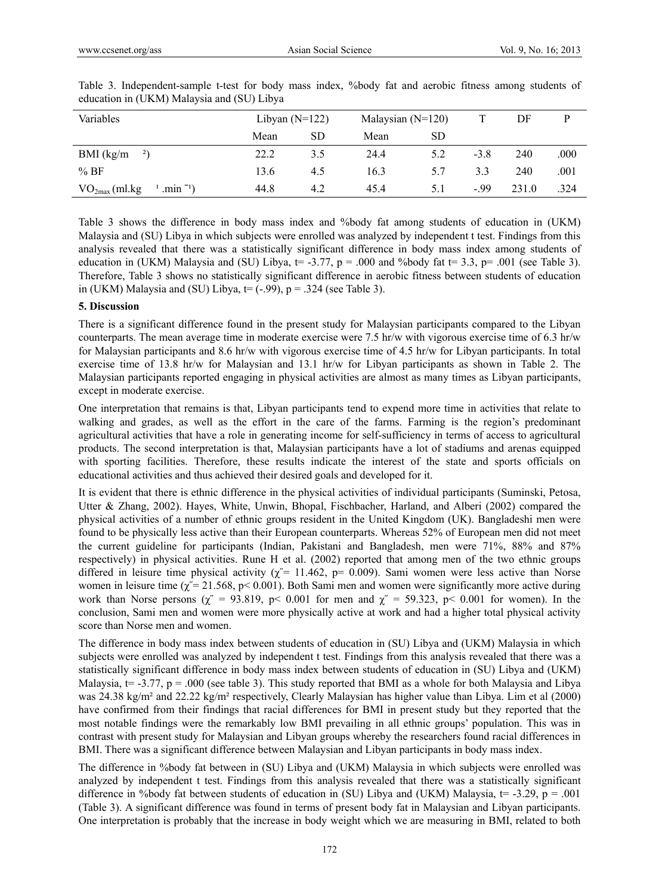| Variables                                    | Libyan $(N=122)$ |     |      | Malaysian $(N=120)$ |        | DF    | D    |
|----------------------------------------------|------------------|-----|------|---------------------|--------|-------|------|
|                                              | Mean             | SD  | Mean | SD                  |        |       |      |
| $BMI$ (kg/m<br>$^{2}$                        | 22.2             | 3.5 | 24.4 | 5.2                 | $-3.8$ | 240   | .000 |
| %BF                                          | 13.6             | 4.5 | 16.3 | 5.7                 | 3.3    | 240   | .001 |
| $VO2max$ (ml.kg)<br>$^1$ min <sup>-1</sup> ) | 44.8             | 4.2 | 45.4 | 5.1                 | $-99$  | 231.0 | .324 |

Table 3. Independent-sample t-test for body mass index, %body fat and aerobic fitness among students of education in (UKM) Malaysia and (SU) Libya

Table 3 shows the difference in body mass index and %body fat among students of education in (UKM) Malaysia and (SU) Libya in which subjects were enrolled was analyzed by independent t test. Findings from this analysis revealed that there was a statistically significant difference in body mass index among students of education in (UKM) Malaysia and (SU) Libya,  $t=$  -3.77,  $p = .000$  and %body fat  $t=$  3.3,  $p= .001$  (see Table 3). Therefore, Table 3 shows no statistically significant difference in aerobic fitness between students of education in (UKM) Malaysia and (SU) Libya,  $t = (-0.99)$ ,  $p = 0.324$  (see Table 3).

#### **5. Discussion**

There is a significant difference found in the present study for Malaysian participants compared to the Libyan counterparts. The mean average time in moderate exercise were 7.5 hr/w with vigorous exercise time of 6.3 hr/w for Malaysian participants and 8.6 hr/w with vigorous exercise time of 4.5 hr/w for Libyan participants. In total exercise time of 13.8 hr/w for Malaysian and 13.1 hr/w for Libyan participants as shown in Table 2. The Malaysian participants reported engaging in physical activities are almost as many times as Libyan participants, except in moderate exercise.

One interpretation that remains is that, Libyan participants tend to expend more time in activities that relate to walking and grades, as well as the effort in the care of the farms. Farming is the region's predominant agricultural activities that have a role in generating income for self-sufficiency in terms of access to agricultural products. The second interpretation is that, Malaysian participants have a lot of stadiums and arenas equipped with sporting facilities. Therefore, these results indicate the interest of the state and sports officials on educational activities and thus achieved their desired goals and developed for it.

It is evident that there is ethnic difference in the physical activities of individual participants (Suminski, Petosa, Utter & Zhang, 2002). Hayes, White, Unwin, Bhopal, Fischbacher, Harland, and Alberi (2002) compared the physical activities of a number of ethnic groups resident in the United Kingdom (UK). Bangladeshi men were found to be physically less active than their European counterparts. Whereas 52% of European men did not meet the current guideline for participants (Indian, Pakistani and Bangladesh, men were 71%, 88% and 87% respectively) in physical activities. Rune H et al. (2002) reported that among men of the two ethnic groups differed in leisure time physical activity ( $\chi$ <sup> $=$ </sup> 11.462, p= 0.009). Sami women were less active than Norse women in leisure time ( $\chi$ <sup> $=$ </sup> 21.568, p  $<$  0.001). Both Sami men and women were significantly more active during work than Norse persons ( $\chi$ <sup>"</sup> = 93.819, p< 0.001 for men and  $\chi$ <sup>"</sup> = 59.323, p< 0.001 for women). In the conclusion, Sami men and women were more physically active at work and had a higher total physical activity score than Norse men and women.

The difference in body mass index between students of education in (SU) Libya and (UKM) Malaysia in which subjects were enrolled was analyzed by independent t test. Findings from this analysis revealed that there was a statistically significant difference in body mass index between students of education in (SU) Libya and (UKM) Malaysia,  $t = -3.77$ ,  $p = .000$  (see table 3). This study reported that BMI as a whole for both Malaysia and Libya was 24.38 kg/m² and 22.22 kg/m² respectively, Clearly Malaysian has higher value than Libya. Lim et al (2000) have confirmed from their findings that racial differences for BMI in present study but they reported that the most notable findings were the remarkably low BMI prevailing in all ethnic groups' population. This was in contrast with present study for Malaysian and Libyan groups whereby the researchers found racial differences in BMI. There was a significant difference between Malaysian and Libyan participants in body mass index.

The difference in %body fat between in (SU) Libya and (UKM) Malaysia in which subjects were enrolled was analyzed by independent t test. Findings from this analysis revealed that there was a statistically significant difference in %body fat between students of education in (SU) Libya and (UKM) Malaysia,  $t = -3.29$ ,  $p = .001$ (Table 3). A significant difference was found in terms of present body fat in Malaysian and Libyan participants. One interpretation is probably that the increase in body weight which we are measuring in BMI, related to both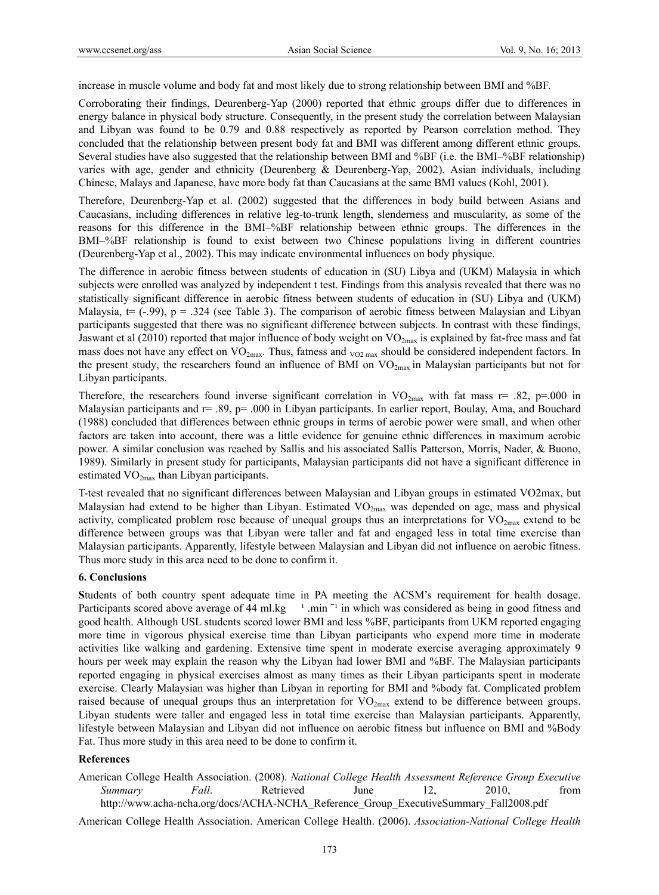increase in muscle volume and body fat and most likely due to strong relationship between BMI and %BF.

Corroborating their findings, Deurenberg-Yap (2000) reported that ethnic groups differ due to differences in energy balance in physical body structure. Consequently, in the present study the correlation between Malaysian and Libyan was found to be 0.79 and 0.88 respectively as reported by Pearson correlation method. They concluded that the relationship between present body fat and BMI was different among different ethnic groups. Several studies have also suggested that the relationship between BMI and %BF (i.e. the BMI–%BF relationship) varies with age, gender and ethnicity (Deurenberg & Deurenberg-Yap, 2002). Asian individuals, including Chinese, Malays and Japanese, have more body fat than Caucasians at the same BMI values (Kohl, 2001).

Therefore, Deurenberg-Yap et al. (2002) suggested that the differences in body build between Asians and Caucasians, including differences in relative leg-to-trunk length, slenderness and muscularity, as some of the reasons for this difference in the BMI–%BF relationship between ethnic groups. The differences in the BMI–%BF relationship is found to exist between two Chinese populations living in different countries (Deurenberg-Yap et al., 2002). This may indicate environmental influences on body physique.

The difference in aerobic fitness between students of education in (SU) Libya and (UKM) Malaysia in which subjects were enrolled was analyzed by independent t test. Findings from this analysis revealed that there was no statistically significant difference in aerobic fitness between students of education in (SU) Libya and (UKM) Malaysia,  $t = (-0.99)$ ,  $p = 0.324$  (see Table 3). The comparison of aerobic fitness between Malaysian and Libyan participants suggested that there was no significant difference between subjects. In contrast with these findings, Jaswant et al (2010) reported that major influence of body weight on  $VO_{2max}$  is explained by fat-free mass and fat mass does not have any effect on  $VO_{2max}$ . Thus, fatness and  $_{VO2 max}$  should be considered independent factors. In the present study, the researchers found an influence of BMI on VO<sub>2max</sub> in Malaysian participants but not for Libyan participants.

Therefore, the researchers found inverse significant correlation in  $VO_{2max}$  with fat mass r= .82, p=.000 in Malaysian participants and  $r=$  .89,  $p=$  .000 in Libyan participants. In earlier report, Boulay, Ama, and Bouchard (1988) concluded that differences between ethnic groups in terms of aerobic power were small, and when other factors are taken into account, there was a little evidence for genuine ethnic differences in maximum aerobic power. A similar conclusion was reached by Sallis and his associated Sallis Patterson, Morris, Nader, & Buono, 1989). Similarly in present study for participants, Malaysian participants did not have a significant difference in estimated  $VO<sub>2max</sub>$  than Libyan participants.

T-test revealed that no significant differences between Malaysian and Libyan groups in estimated VO2max, but Malaysian had extend to be higher than Libyan. Estimated VO<sub>2max</sub> was depended on age, mass and physical activity, complicated problem rose because of unequal groups thus an interpretations for  $VO_{2max}$  extend to be difference between groups was that Libyan were taller and fat and engaged less in total time exercise than Malaysian participants. Apparently, lifestyle between Malaysian and Libyan did not influence on aerobic fitness. Thus more study in this area need to be done to confirm it.

## **6. Conclusions**

**S**tudents of both country spent adequate time in PA meeting the ACSM's requirement for health dosage. Participants scored above average of 44 ml.kg  $\frac{1}{2}$  .min<sup>-1</sup> in which was considered as being in good fitness and good health. Although USL students scored lower BMI and less %BF, participants from UKM reported engaging more time in vigorous physical exercise time than Libyan participants who expend more time in moderate activities like walking and gardening. Extensive time spent in moderate exercise averaging approximately 9 hours per week may explain the reason why the Libyan had lower BMI and %BF. The Malaysian participants reported engaging in physical exercises almost as many times as their Libyan participants spent in moderate exercise. Clearly Malaysian was higher than Libyan in reporting for BMI and %body fat. Complicated problem raised because of unequal groups thus an interpretation for  $VO_{2max}$  extend to be difference between groups. Libyan students were taller and engaged less in total time exercise than Malaysian participants. Apparently, lifestyle between Malaysian and Libyan did not influence on aerobic fitness but influence on BMI and %Body Fat. Thus more study in this area need to be done to confirm it.

## **References**

American College Health Association. (2008). *National College Health Assessment Reference Group Executive Summary Fall*. Retrieved June 12, 2010, from http://www.acha-ncha.org/docs/ACHA-NCHA\_Reference\_Group\_ExecutiveSummary\_Fall2008.pdf

American College Health Association. American College Health. (2006). *Association-National College Health*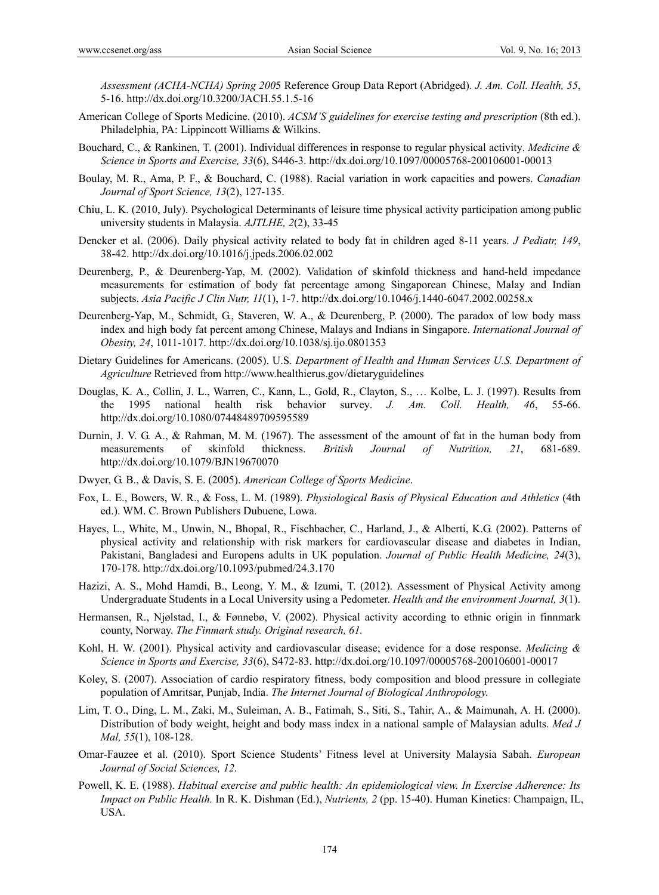*Assessment (ACHA-NCHA) Spring 200*5 Reference Group Data Report (Abridged). *J. Am. Coll. Health, 55*, 5-16. http://dx.doi.org/10.3200/JACH.55.1.5-16

- American College of Sports Medicine. (2010). *ACSM'S guidelines for exercise testing and prescription* (8th ed.). Philadelphia, PA: Lippincott Williams & Wilkins.
- Bouchard, C., & Rankinen, T. (2001). Individual differences in response to regular physical activity. *Medicine & Science in Sports and Exercise, 33*(6), S446-3. http://dx.doi.org/10.1097/00005768-200106001-00013
- Boulay, M. R., Ama, P. F., & Bouchard, C. (1988). Racial variation in work capacities and powers. *Canadian Journal of Sport Science, 13*(2), 127-135.
- Chiu, L. K. (2010, July). Psychological Determinants of leisure time physical activity participation among public university students in Malaysia. *AJTLHE, 2*(2), 33-45
- Dencker et al. (2006). Daily physical activity related to body fat in children aged 8-11 years. *J Pediatr, 149*, 38-42. http://dx.doi.org/10.1016/j.jpeds.2006.02.002
- Deurenberg, P., & Deurenberg-Yap, M. (2002). Validation of skinfold thickness and hand-held impedance measurements for estimation of body fat percentage among Singaporean Chinese, Malay and Indian subjects. *Asia Pacific J Clin Nutr, 11*(1), 1-7. http://dx.doi.org/10.1046/j.1440-6047.2002.00258.x
- Deurenberg-Yap, M., Schmidt, G., Staveren, W. A., & Deurenberg, P. (2000). The paradox of low body mass index and high body fat percent among Chinese, Malays and Indians in Singapore. *International Journal of Obesity, 24*, 1011-1017. http://dx.doi.org/10.1038/sj.ijo.0801353
- Dietary Guidelines for Americans. (2005). U.S. *Department of Health and Human Services U.S. Department of Agriculture* Retrieved from http://www.healthierus.gov/dietaryguidelines
- Douglas, K. A., Collin, J. L., Warren, C., Kann, L., Gold, R., Clayton, S., … Kolbe, L. J. (1997). Results from the 1995 national health risk behavior survey. *J. Am. Coll. Health, 46*, 55-66. http://dx.doi.org/10.1080/07448489709595589
- Durnin, J. V. G. A., & Rahman, M. M. (1967). The assessment of the amount of fat in the human body from measurements of skinfold thickness. *British Journal of Nutrition, 21*, 681-689. http://dx.doi.org/10.1079/BJN19670070
- Dwyer, G. B., & Davis, S. E. (2005). *American College of Sports Medicine*.
- Fox, L. E., Bowers, W. R., & Foss, L. M. (1989). *Physiological Basis of Physical Education and Athletics* (4th ed.). WM. C. Brown Publishers Dubuene, Lowa.
- Hayes, L., White, M., Unwin, N., Bhopal, R., Fischbacher, C., Harland, J., & Alberti, K.G. (2002). Patterns of physical activity and relationship with risk markers for cardiovascular disease and diabetes in Indian, Pakistani, Bangladesi and Europens adults in UK population. *Journal of Public Health Medicine, 24*(3), 170-178. http://dx.doi.org/10.1093/pubmed/24.3.170
- Hazizi, A. S., Mohd Hamdi, B., Leong, Y. M., & Izumi, T. (2012). Assessment of Physical Activity among Undergraduate Students in a Local University using a Pedometer. *Health and the environment Journal, 3*(1).
- Hermansen, R., Njølstad, I., & Fønnebø, V. (2002). Physical activity according to ethnic origin in finnmark county, Norway. *The Finmark study. Original research, 61.*
- Kohl, H. W. (2001). Physical activity and cardiovascular disease; evidence for a dose response. *Medicing & Science in Sports and Exercise, 33*(6), S472-83. http://dx.doi.org/10.1097/00005768-200106001-00017
- Koley, S. (2007). Association of cardio respiratory fitness, body composition and blood pressure in collegiate population of Amritsar, Punjab, India. *The Internet Journal of Biological Anthropology.*
- Lim, T. O., Ding, L. M., Zaki, M., Suleiman, A. B., Fatimah, S., Siti, S., Tahir, A., & Maimunah, A. H. (2000). Distribution of body weight, height and body mass index in a national sample of Malaysian adults. *Med J Mal, 55*(1), 108-128.
- Omar-Fauzee et al. (2010). Sport Science Students' Fitness level at University Malaysia Sabah. *European Journal of Social Sciences, 12*.
- Powell, K. E. (1988). *Habitual exercise and public health: An epidemiological view. In Exercise Adherence: Its Impact on Public Health.* In R. K. Dishman (Ed.), *Nutrients, 2* (pp. 15-40). Human Kinetics: Champaign, IL, USA.